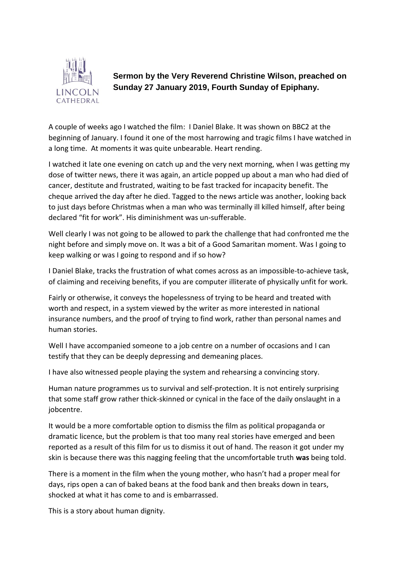

**Sermon by the Very Reverend Christine Wilson, preached on Sunday 27 January 2019, Fourth Sunday of Epiphany.** 

A couple of weeks ago I watched the film: I Daniel Blake. It was shown on BBC2 at the beginning of January. I found it one of the most harrowing and tragic films I have watched in a long time. At moments it was quite unbearable. Heart rending.

I watched it late one evening on catch up and the very next morning, when I was getting my dose of twitter news, there it was again, an article popped up about a man who had died of cancer, destitute and frustrated, waiting to be fast tracked for incapacity benefit. The cheque arrived the day after he died. Tagged to the news article was another, looking back to just days before Christmas when a man who was terminally ill killed himself, after being declared "fit for work". His diminishment was un-sufferable.

Well clearly I was not going to be allowed to park the challenge that had confronted me the night before and simply move on. It was a bit of a Good Samaritan moment. Was I going to keep walking or was I going to respond and if so how?

I Daniel Blake, tracks the frustration of what comes across as an impossible-to-achieve task, of claiming and receiving benefits, if you are computer illiterate of physically unfit for work.

Fairly or otherwise, it conveys the hopelessness of trying to be heard and treated with worth and respect, in a system viewed by the writer as more interested in national insurance numbers, and the proof of trying to find work, rather than personal names and human stories.

Well I have accompanied someone to a job centre on a number of occasions and I can testify that they can be deeply depressing and demeaning places.

I have also witnessed people playing the system and rehearsing a convincing story.

Human nature programmes us to survival and self-protection. It is not entirely surprising that some staff grow rather thick-skinned or cynical in the face of the daily onslaught in a jobcentre.

It would be a more comfortable option to dismiss the film as political propaganda or dramatic licence, but the problem is that too many real stories have emerged and been reported as a result of this film for us to dismiss it out of hand. The reason it got under my skin is because there was this nagging feeling that the uncomfortable truth **was** being told.

There is a moment in the film when the young mother, who hasn't had a proper meal for days, rips open a can of baked beans at the food bank and then breaks down in tears, shocked at what it has come to and is embarrassed.

This is a story about human dignity.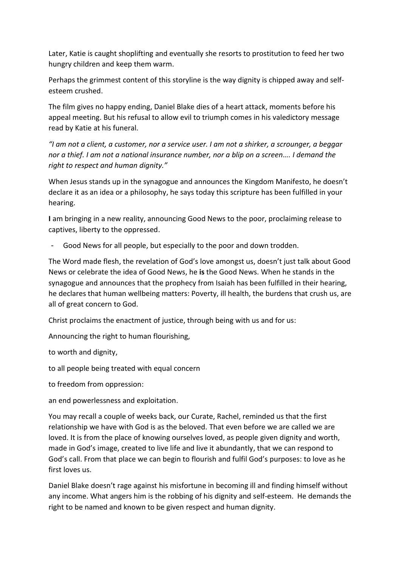Later, Katie is caught shoplifting and eventually she resorts to prostitution to feed her two hungry children and keep them warm.

Perhaps the grimmest content of this storyline is the way dignity is chipped away and selfesteem crushed.

The film gives no happy ending, Daniel Blake dies of a heart attack, moments before his appeal meeting. But his refusal to allow evil to triumph comes in his valedictory message read by Katie at his funeral.

*"I am not a client, a customer, nor a service user. I am not a shirker, a scrounger, a beggar nor a thief. I am not a national insurance number, nor a blip on a screen…. I demand the right to respect and human dignity."*

When Jesus stands up in the synagogue and announces the Kingdom Manifesto, he doesn't declare it as an idea or a philosophy, he says today this scripture has been fulfilled in your hearing.

**I** am bringing in a new reality, announcing Good News to the poor, proclaiming release to captives, liberty to the oppressed.

Good News for all people, but especially to the poor and down trodden.

The Word made flesh, the revelation of God's love amongst us, doesn't just talk about Good News or celebrate the idea of Good News, he **is** the Good News. When he stands in the synagogue and announces that the prophecy from Isaiah has been fulfilled in their hearing, he declares that human wellbeing matters: Poverty, ill health, the burdens that crush us, are all of great concern to God.

Christ proclaims the enactment of justice, through being with us and for us:

Announcing the right to human flourishing,

to worth and dignity,

to all people being treated with equal concern

to freedom from oppression:

an end powerlessness and exploitation.

You may recall a couple of weeks back, our Curate, Rachel, reminded us that the first relationship we have with God is as the beloved. That even before we are called we are loved. It is from the place of knowing ourselves loved, as people given dignity and worth, made in God's image, created to live life and live it abundantly, that we can respond to God's call. From that place we can begin to flourish and fulfil God's purposes: to love as he first loves us.

Daniel Blake doesn't rage against his misfortune in becoming ill and finding himself without any income. What angers him is the robbing of his dignity and self-esteem. He demands the right to be named and known to be given respect and human dignity.